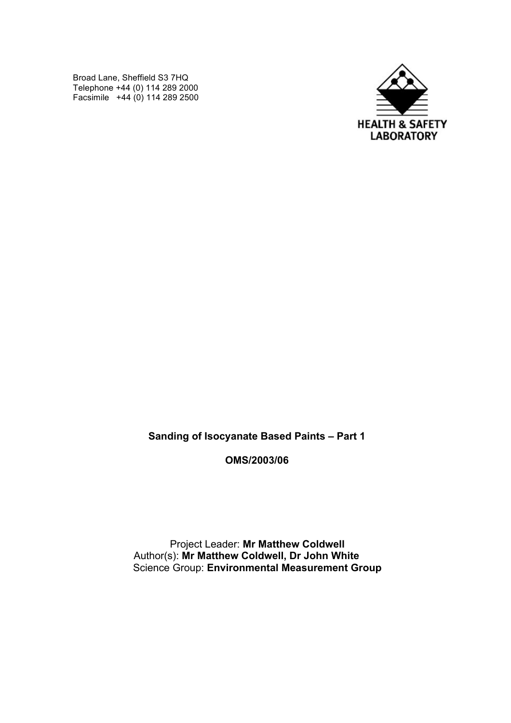Broad Lane, Sheffield S3 7HQ Telephone +44 (0) 114 289 2000 Facsimile +44 (0) 114 289 2500



**Sanding of Isocyanate Based Paints – Part 1**

**OMS/2003/06**

Project Leader: **Mr Matthew Coldwell** Author(s): **Mr Matthew Coldwell, Dr John White** Science Group: **Environmental Measurement Group**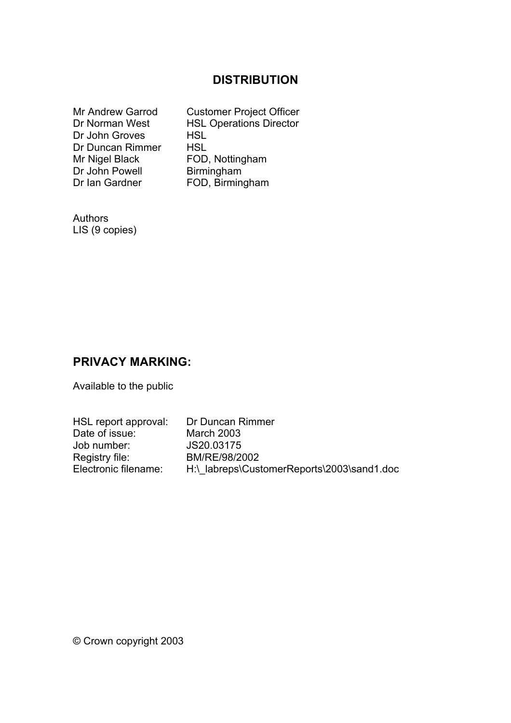# **DISTRIBUTION**

| <b>Mr Andrew Garrod</b> | <b>Customer Project Officer</b> |
|-------------------------|---------------------------------|
| Dr Norman West          | <b>HSL Operations Director</b>  |
| Dr John Groves          | <b>HSL</b>                      |
| Dr Duncan Rimmer        | <b>HSL</b>                      |
| Mr Nigel Black          | FOD, Nottingham                 |
| Dr John Powell          | Birmingham                      |
| Dr Ian Gardner          | FOD, Birmingham                 |

Authors LIS (9 copies)

## **PRIVACY MARKING:**

Available to the public

| HSL report approval: | Dr Duncan Rimmer                           |
|----------------------|--------------------------------------------|
| Date of issue:       | <b>March 2003</b>                          |
| Job number:          | JS20.03175                                 |
| Registry file:       | BM/RE/98/2002                              |
| Electronic filename: | H:\ labreps\CustomerReports\2003\sand1.doc |

© Crown copyright 2003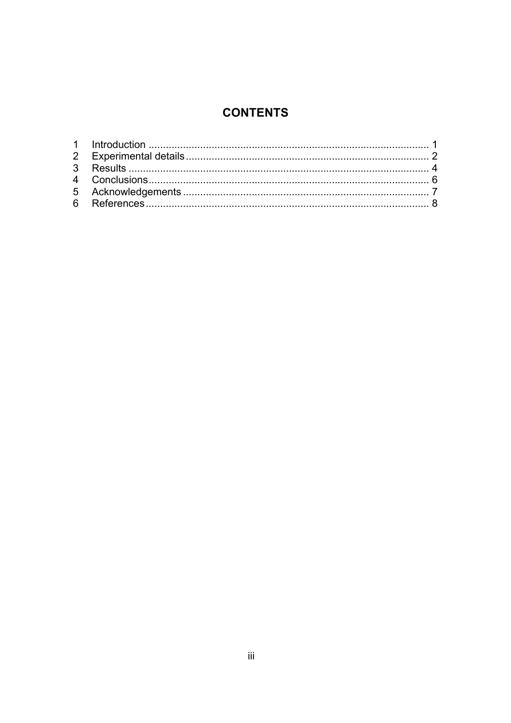# **CONTENTS**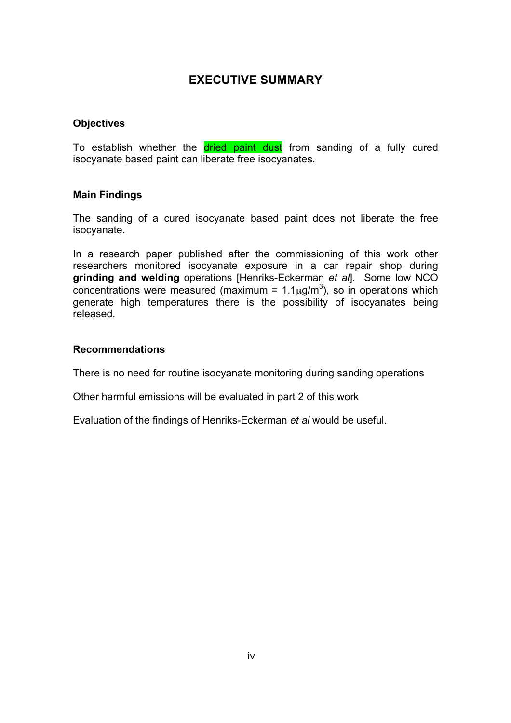### **EXECUTIVE SUMMARY**

#### **Objectives**

To establish whether the dried paint dust from sanding of a fully cured isocyanate based paint can liberate free isocyanates.

#### **Main Findings**

The sanding of a cured isocyanate based paint does not liberate the free isocyanate.

In a research paper published after the commissioning of this work other researchers monitored isocyanate exposure in a car repair shop during **grinding and welding** operations [Henriks-Eckerman *et al*]. Some low NCO concentrations were measured (maximum =  $1.1 \mu g/m^3$ ), so in operations which generate high temperatures there is the possibility of isocyanates being released.

#### **Recommendations**

There is no need for routine isocyanate monitoring during sanding operations

Other harmful emissions will be evaluated in part 2 of this work

Evaluation of the findings of Henriks-Eckerman *et al* would be useful.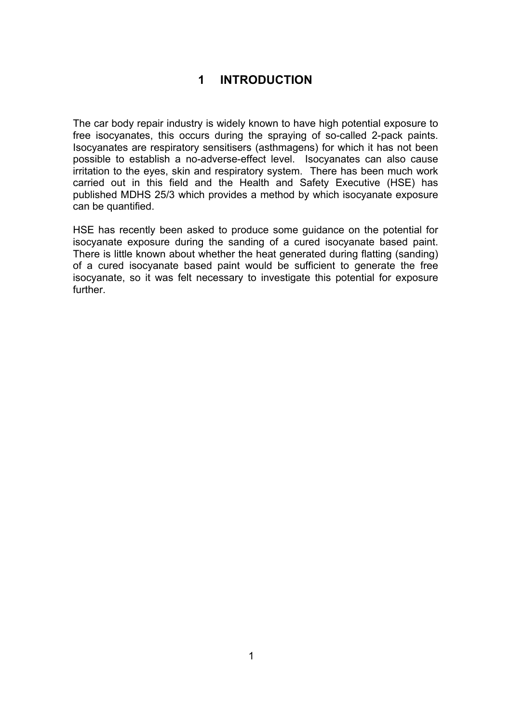# **1 INTRODUCTION**

The car body repair industry is widely known to have high potential exposure to free isocyanates, this occurs during the spraying of so-called 2-pack paints. Isocyanates are respiratory sensitisers (asthmagens) for which it has not been possible to establish a no-adverse-effect level. Isocyanates can also cause irritation to the eyes, skin and respiratory system. There has been much work carried out in this field and the Health and Safety Executive (HSE) has published MDHS 25/3 which provides a method by which isocyanate exposure can be quantified.

HSE has recently been asked to produce some guidance on the potential for isocyanate exposure during the sanding of a cured isocyanate based paint. There is little known about whether the heat generated during flatting (sanding) of a cured isocyanate based paint would be sufficient to generate the free isocyanate, so it was felt necessary to investigate this potential for exposure further.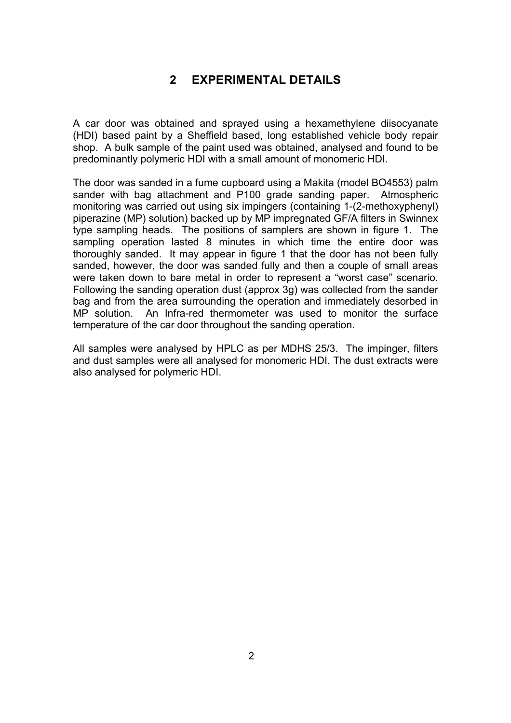### **2 EXPERIMENTAL DETAILS**

A car door was obtained and sprayed using a hexamethylene diisocyanate (HDI) based paint by a Sheffield based, long established vehicle body repair shop. A bulk sample of the paint used was obtained, analysed and found to be predominantly polymeric HDI with a small amount of monomeric HDI.

The door was sanded in a fume cupboard using a Makita (model BO4553) palm sander with bag attachment and P100 grade sanding paper. Atmospheric monitoring was carried out using six impingers (containing 1-(2-methoxyphenyl) piperazine (MP) solution) backed up by MP impregnated GF/A filters in Swinnex type sampling heads. The positions of samplers are shown in figure 1. The sampling operation lasted 8 minutes in which time the entire door was thoroughly sanded. It may appear in figure 1 that the door has not been fully sanded, however, the door was sanded fully and then a couple of small areas were taken down to bare metal in order to represent a "worst case" scenario. Following the sanding operation dust (approx 3g) was collected from the sander bag and from the area surrounding the operation and immediately desorbed in MP solution. An Infra-red thermometer was used to monitor the surface temperature of the car door throughout the sanding operation.

All samples were analysed by HPLC as per MDHS 25/3. The impinger, filters and dust samples were all analysed for monomeric HDI. The dust extracts were also analysed for polymeric HDI.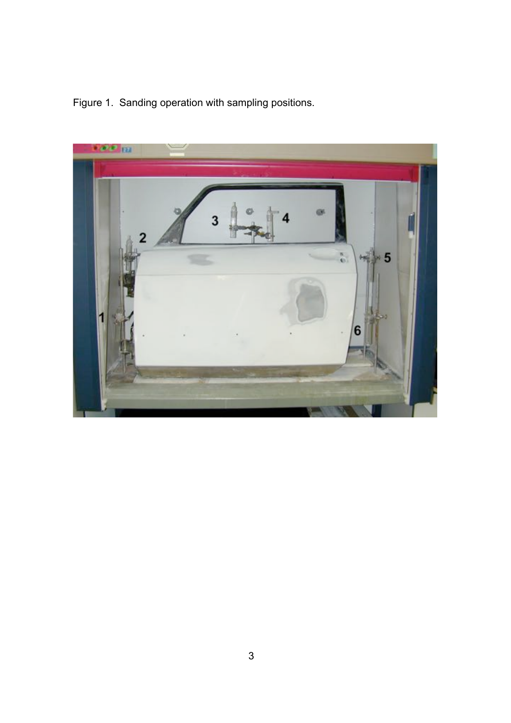

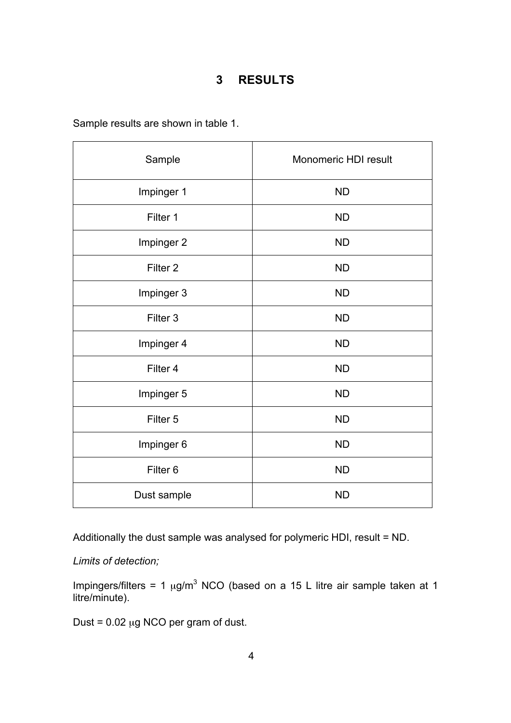#### **3 RESULTS**

Sample results are shown in table 1.

| Sample              | Monomeric HDI result |
|---------------------|----------------------|
| Impinger 1          | <b>ND</b>            |
| Filter 1            | <b>ND</b>            |
| Impinger 2          | <b>ND</b>            |
| Filter <sub>2</sub> | <b>ND</b>            |
| Impinger 3          | <b>ND</b>            |
| Filter 3            | <b>ND</b>            |
| Impinger 4          | <b>ND</b>            |
| Filter 4            | <b>ND</b>            |
| Impinger 5          | <b>ND</b>            |
| Filter 5            | <b>ND</b>            |
| Impinger 6          | <b>ND</b>            |
| Filter <sub>6</sub> | <b>ND</b>            |
| Dust sample         | <b>ND</b>            |

Additionally the dust sample was analysed for polymeric HDI, result = ND.

*Limits of detection;*

Impingers/filters = 1  $\mu$ g/m<sup>3</sup> NCO (based on a 15 L litre air sample taken at 1 litre/minute).

Dust =  $0.02 \mu g$  NCO per gram of dust.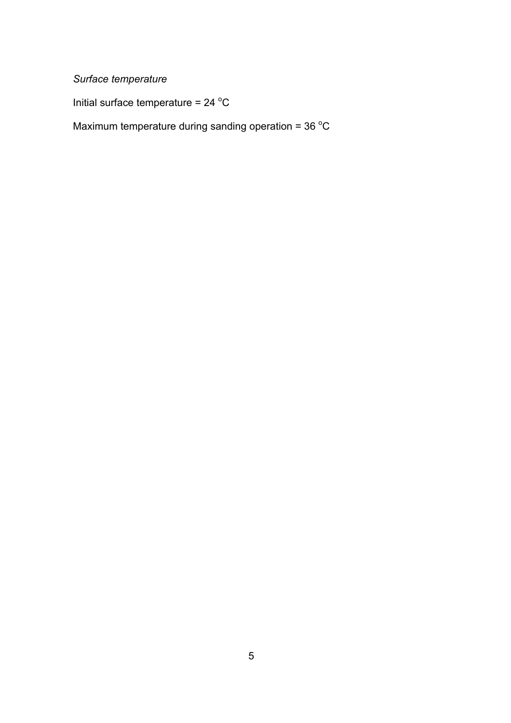# *Surface temperature*

Initial surface temperature =  $24 °C$ 

Maximum temperature during sanding operation =  $36 \degree C$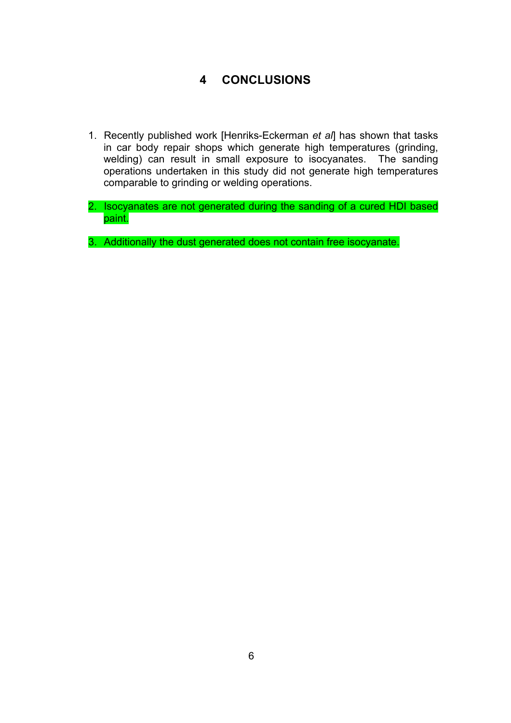# **4 CONCLUSIONS**

- 1. Recently published work [Henriks-Eckerman *et al*] has shown that tasks in car body repair shops which generate high temperatures (grinding, welding) can result in small exposure to isocyanates. The sanding operations undertaken in this study did not generate high temperatures comparable to grinding or welding operations.
- 2. Isocyanates are not generated during the sanding of a cured HDI based paint.

3. Additionally the dust generated does not contain free isocyanate.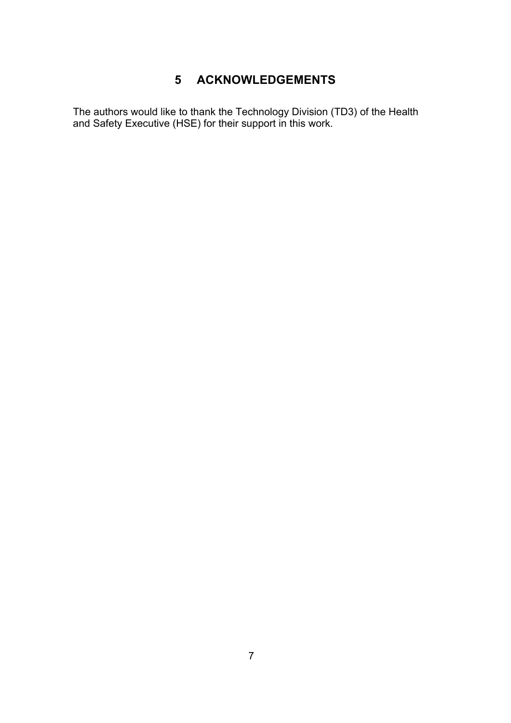# **5 ACKNOWLEDGEMENTS**

The authors would like to thank the Technology Division (TD3) of the Health and Safety Executive (HSE) for their support in this work.